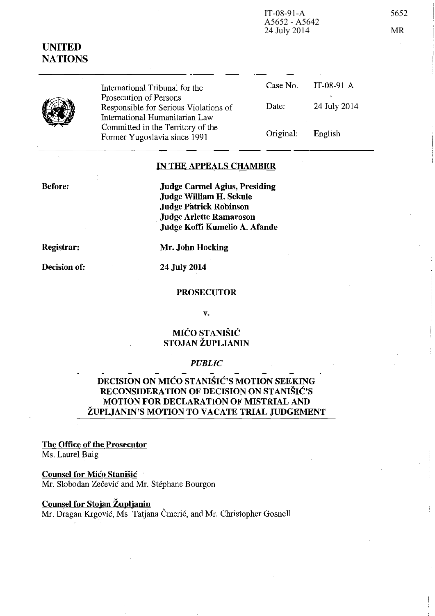IT-08-91-A 5652

Case No.

Date:

Original: English

IT-08-91-A

24 July 2014

## IN THE APPEALS CHAMBER

Judge Carmel Agius, Presiding Judge William H. Sekule Judge Patrick Robinson . Judge Arlette Ramaroson Judge Koffi Kumelio A. Afande

Registrar:

Before:

Decision of:

Mr. John Hocking

24 July 2014

International Tribunal for the

Responsible for Serious Violations of International Humanitarian Law Committed in the Territory of the Former Yugoslavia since 1991

Prosecution of Persons

#### PROSECUTOR

v.

## MICO STANISIC STOJAN ZUPLJANIN

#### *PUBLIC*

# DECISION ON MICO STANISIC'S MOTION SEEKING RECONSIDERATION OF DECISION ON STANISIC'S MOTION FOR DECLARATION OF MISTRIAL AND ZUPLJANIN'S MOTION TO VACATE TRIAL JUDGEMENT

The Office of the Prosecutor Ms. Laurel Baig

Counsel for Mico Stanisic Mr. Slobodan Zečević and Mr. Stéphane Bourgon

### Counsel for Stojan Zupljanin

Mr. Dragan Krgović, Ms. Tatjana Čmerić, and Mr. Christopher Gosnell

# UNITED NATIONS

A5652 - A5642 24 July 2014 MR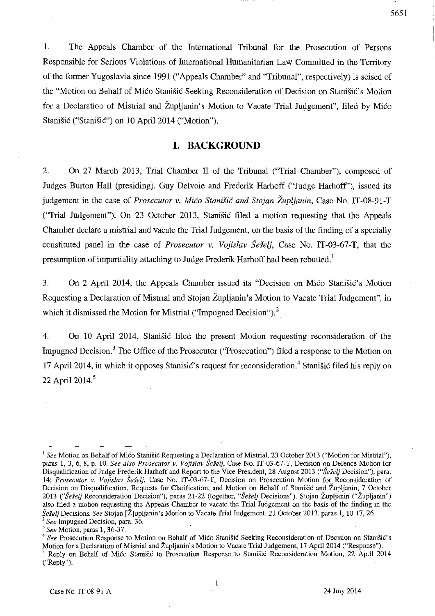1. The Appeals Chamber of the International Tribunal for the Prosecution of Persons Responsible for Serious Violations of International Humanitarian Law Committed in the Territory of the former Yugoslavia since 1991 ("Appeals Chamber" and "Tribunal", respectively) is seised of the "Motion on Behalf of Mico Stanišic Seeking Reconsideration of Decision on Stanišic's Motion for a Declaration of Mistrial and Župljanin's Motion to Vacate Trial Judgement", filed by Mico Stanišić ("Stanišić") on 10 April 2014 ("Motion").

## **I. BACKGROUND**

2. On 27 March 2013, Trial Chamber II of the Tribunal ("Trial Chamber"), composed of Judges Burton Hall (presiding), Guy Delvoie and Frederik Harhoff ("Judge Harhoff'), issued its judgement in the case of *Prosecutor* v. *Mico Stanisic and Stojan Zupljanin,* Case No. IT-08-91-T (''Trial Judgement"). On 23 October 2013, Stanisic filed a motion requesting that the Appeals Chamber declare a mistrial and vacate the Trial Judgement, on the basis of the finding of a specially constituted panel in the case of *Prosecutor v. Vojislav Šešeli*, Case No. IT-03-67-T, that the presumption of impartiality attaching to Judge Frederik Harhoff had been rebutted.<sup>1</sup>

3. On 2 April 2014, the Appeals Chamber issued its "Decision on Mico Stanišic's Motion Requesting a Declaration of Mistrial and Stojan Zupljanin's Motion to Vacate Trial Judgement", in which it dismissed the Motion for Mistrial ("Impugned Decision").<sup>2</sup>

4. On 10 April 2014, Stanisic filed the present Motion requesting reconsideration of the Impugned Decision.<sup>3</sup> The Office of the Prosecutor ("Prosecution") filed a response to the Motion on 17 April 2014, in which it opposes Stanisic's request for reconsideration.<sup>4</sup> Stanisic filed his reply on 22 April 2014.<sup>5</sup>

 $\mathbf{1}$ 

<sup>&</sup>lt;sup>1</sup> See Motion on Behalf of Mićo Stanišić Requesting a Declaration of Mistrial, 23 October 2013 ("Motion for Mistrial"), paras 1,3,6,8, p. 10. *See also Prosecutor v. Vajislav Se§elj,* Case No. IT-03-67-T, Decision on Defence Motion for Disqualification of Judge Frederik Harhoff and Report to the Vice-President, 28 August 2013 *("Se§elj* Decision"), para. *14; Prosecutor v. Vojislav Seselj,* Case No. IT-03-67-T, Decision on Prosecution Motion for Reconsideration of Decision on Disqualification, Requests for Clarification, and Motion on Behalf of Stanišić and Župljanin, 7 October *2013 ("Sdelj* Reconsideration Decision"), paras 21-22 (together, *"Se§elj* Decisions"). Stojan Zupljanin ("Zupljanin") also filed a motion requesting the Appeals Chamber to vacate the Trial Judgement on the basis of the finding in the *Seselj* Decisions. *See* Stojan [Z]upljanin's Motion to Vacate Trial Judgement, 21 October 2013, paras 1, 10-17,26. <sup>2</sup> See Impugned Decision, para. 36.

<sup>&</sup>lt;sup>3</sup> See Motion, paras 1, 36-37.

<sup>&</sup>lt;sup>4</sup> See Prosecution Response to Motion on Behalf of Mico Stanišic Seeking Reconsideration of Decision on Stanišic's Motion for a Declaration of Mistrial and Zupljanin's Motion to Vacate Trial Judgement, 17 April 2014 ("Response"). <sup>5</sup> Reply on Behalf of Mico Stanišic to Prosecution Response to Stanišic Reconsideration Motion, 22 April 2014 ("Reply").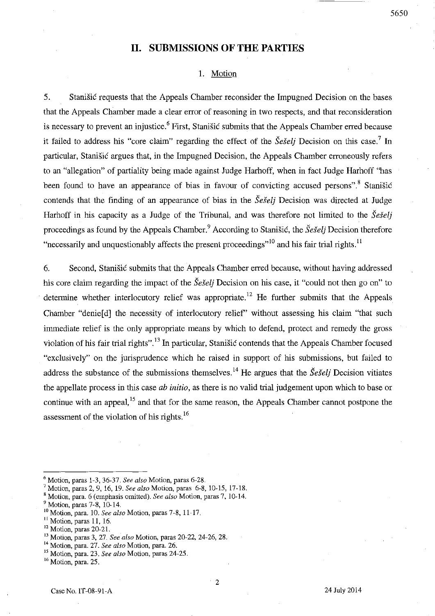## **II. SUBMISSIONS OF THE PARTIES**

#### 1. Motion

5. Stanisic requests that the Appeals Chamber reconsider the Impugned Decision on the bases that the Appeals Chamber made a clear error of reasoning in two respects, and that reconsideration is necessary to prevent an injustice.<sup>6</sup> First, Stanisic submits that the Appeals Chamber erred because it failed to address his "core claim" regarding the effect of the *Šešelj* Decision on this case.<sup>7</sup> In particular, Stanisic argues that, in the Impugned Decision, the Appeals Chamber erroneously refers to an "allegation" of partiality being made against Judge Harhoff, when in fact Judge Harhoff "has been found to have an appearance of bias in favour of convicting accused persons".<sup>8</sup> Stanišić contends that the finding of an appearance of bias in the *Seselj* Decision was directed at Judge Harhoff in his capacity as a Judge of the Tribunal, and was therefore not limited to the *Seselj*  proceedings as found by the Appeals Chamber.<sup>9</sup> According to Stanisic, the *Seselj* Decision therefore "necessarily and unquestionably affects the present proceedings"<sup>10</sup> and his fair trial rights.<sup>11</sup>

6. Second, Stanisic submits that the Appeals Chamber erred because, without having addressed his core claim regarding the impact of the *Seselj* Decision on his case, it "could not then go on" to determine whether interlocutory relief was appropriate.<sup>12</sup> He further submits that the Appeals Chamber "denie[d] the necessity of interlocutory relief" without assessing his claim "that such immediate relief is the only appropriate means by which to defend, protect and remedy the gross violation of his fair trial rights". 13 In particular, Stanisic contends that the Appeals Chamber focused "exclusively" on the jurisprudence which he raised in support of his submissions, but failed to address the substance of the submissions themselves.<sup>14</sup> He argues that the *Sešelj* Decision vitiates the appellate process in this case *ab initio,* as there is no valid trial judgement upon which to base or continue with an appeal,<sup>15</sup> and that for the same reason, the Appeals Chamber cannot postpone the assessment of the violation of his rights.<sup>16</sup>

<sup>6</sup> Motion, paras 1-3, 36-37. *See also* Motion, paras 6-28.

<sup>7</sup> Motion, paras 2. 9,16,19. *See also* Motion, paras 6-8,10-15,17-18.

B Motion, para. 6 (emphasis omitted). *See also* Motion, paras 7, 10-14.

<sup>9</sup> Motion, paras 7-8,10-14.

<sup>&</sup>lt;sup>10</sup> Motion, para. 10. *See also* Motion, paras 7-8, 11-17.

 $<sup>11</sup>$  Motion, paras 11, 16.</sup>

<sup>&</sup>lt;sup>12</sup> Motion, paras 20-21.

<sup>13</sup> Motion, paras 3, 27. *See also* Motion, paras 20-22, 24-26, 28.

<sup>14</sup> Motion, para. 27. *See also* Motion, para. 26.

<sup>15</sup> Motion, para. 23. *See also* Motion, paras 24-25.

<sup>&</sup>lt;sup>16</sup> Motion, para. 25.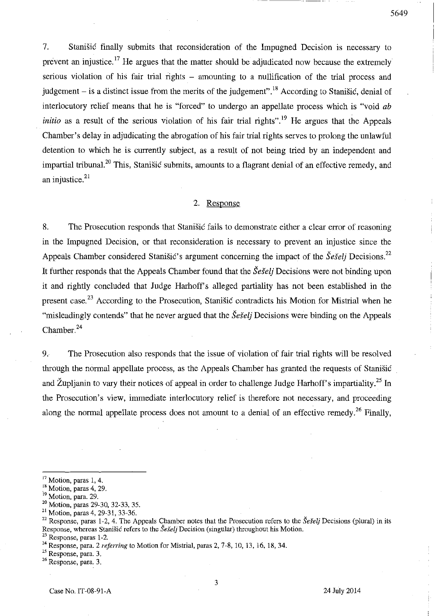7. Stanisic finally submits that reconsideration of the Impugned Decision is necessary to prevent an injustice.<sup>17</sup> He argues that the matter should be adjudicated now because the extremely serious violation of his fair trial rights – amounting to a nullification of the trial process and judgement  $-$  is a distinct issue from the merits of the judgement".<sup>18</sup> According to Stanisic, denial of interlocutory relief means that he is "forced" to undergo an appellate process which is "void *ab initio* as a result of the serious violation of his fair trial rights".<sup>19</sup> He argues that the Appeals Chamber's delay in adjudicating the abrogation of his fair trial rights serves to prolong the unlawful detention to which he is currently subject, as a result of not being tried by an independent and impartial tribunal.<sup>20</sup> This, Stanišić submits, amounts to a flagrant denial of an effective remedy, and  $m$ <sub>p</sub>  $m$  and  $n$  in  $m$  in  $m$  in  $m$  in  $m$  in  $n$  in  $n$  in  $n$  in  $n$  in  $n$ 

#### 2. Response

8. The Prosecution responds that Stanistic fails to demonstrate either a clear error of reasoning in the Impugned Decision, or that reconsideration is necessary to prevent an injustice since the Appeals Chamber considered Stanišic's argument concerning the impact of the *Šešeli* Decisions.<sup>22</sup> It further responds that the Appeals Chamber found that the *SeSeli* Decisions were not binding upon it and rightly concluded that Judge Harhoff's alleged partiality has not been established in the present case.<sup>23</sup> According to the Prosecution, Stanistic contradicts his Motion for Mistrial when he "misleadingly contends" that he never argued that the *Seselj* Decisions were binding on the Appeals Chamber. $^{24}$ 

9. The Prosecution also responds that the issue of violation of fair trial rights will be resolved through the normal appellate process, as the Appeals Chamber has granted the requests of Stanisic and Župljanin to vary their notices of appeal in order to challenge Judge Harhoff's impartiality.<sup>25</sup> In the Prosecution's view, immediate interlocutory relief is therefore not necessary, and proceeding along the normal appellate process does not amount to a denial of an effective remedy.<sup>26</sup> Finally,

**25 Response, para. 3.** 

**26 Response, para. 3.** 

3

<sup>&</sup>lt;sup>17</sup> Motion, paras 1, 4.

<sup>&</sup>lt;sup>18</sup> Motion, paras 4, 29.

<sup>&</sup>lt;sup>19</sup> Motion, para. 29.

<sup>20</sup> Motion, paras 29-30, 32-33. 35.

<sup>21</sup> Motion, paras 4.29-31,33-36.

<sup>&</sup>lt;sup>22</sup> Response, paras 1-2, 4. The Appeals Chamber notes that the Prosecution refers to the *Šešelj* Decisions (plural) in its Response, whereas Stanišić refers to the *Šešelj* Decision (singular) throughout his Motion.

**<sup>23</sup> Response, paras 1-2.** 

<sup>&</sup>lt;sup>24</sup> Response, para. 2 *referring* to Motion for Mistrial, paras 2, 7-8, 10, 13, 16, 18, 34.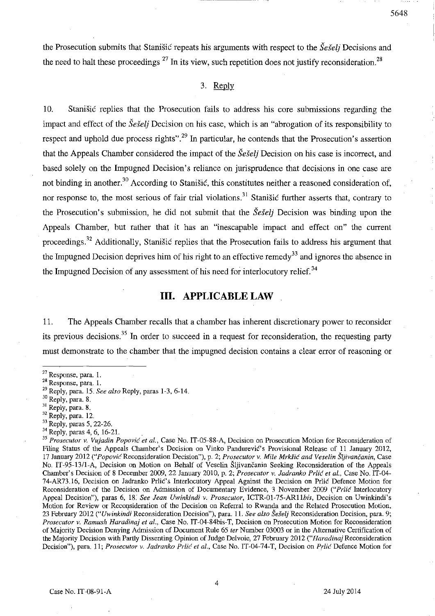the Prosecution submits that Stanisic repeats his arguments with respect to the *Se§elj* Decisions and the need to halt these proceedings  $^{27}$  In its view, such repetition does not justify reconsideration.<sup>28</sup>

#### 3. Reply

10. Stanisic replies that the Prosecution fails to address his core submissions regarding the impact and effect of the *Seselj* Decision on his case, which is an "abrogation of its responsibility to respect and uphold due process rights".<sup>29</sup> In particular, he contends that the Prosecution's assertion that the Appeals Chamber considered the impact of the *Seseli* Decision on his case is incorrect, and based solely on the Impugned Decision's reliance on jurisprudence that decisions in one case are not binding in another.<sup>30</sup> According to Stanišić, this constitutes neither a reasoned consideration of, nor response to, the most serious of fair trial violations.<sup>31</sup> Stanišić further asserts that, contrary to the Prosecution's submission, he did not submit that the *Seseli* Decision was binding upon the Appeals Chamber, but rather that it has an "inescapable impact and effect on" the current proceedings. 32 Additionally, Stanisic replies that the Prosecution fails to address his argument that the Impugned Decision deprives him of his right to an effective remedy<sup>33</sup> and ignores the absence in the Impugned Decision of any assessment of his need for interlocutory relief.<sup>34</sup>

# **III. APPLICABLE LAW**

11. The Appeals Chamber recalls that a chamber has inherent discretionary power to reconsider its previous decisions.<sup>35</sup> In order to succeed in a request for reconsideration, the requesting party must demonstrate to the chamber that the impugned decision contains a clear error of reasoning or

<sup>34</sup> Reply, paras 4, 6, 16-21.

*35 Prosecutor v. Vujadin Popov;c et aI.,* **Case No. IT -05-88-A, Decision on Prosecution Motion for Reconsideration of**  Filing Status of the Appeals Chamber's Decision on Vinko Pandurević's Provisional Release of 11 January 2012, 17 January 2012 *("Popovic* Reconsideration Decision"), p. 2; *Prosecutor v. Mile MrHlc and Veselin Sljivancanin,* Case No. IT-95-13/l-A, Decision on Molion on Behalf of Veselin Sljivancanin Seeking Reconsideration of the Appeals Chamber's Decision of 8 December 2009, 22 January 2010, p. 2; *Prosecutor* v. *ladranko Prlic et 01.,* Case No. IT-04- 74-AR73.16, Decision on Jadranko Prlić's Interlocutory Appeal Against the Decision on Prlić Defence Motion for Reconsideration of the Decision on Admission of Documentary Evidence, 3 November 2009 *("Prlic* Interlocutory Appeal Decision"), paras 6, 18. *See lean Uwinkindi v. Prosecutor, ICTR-01-75-AR11bis,* Decision on Uwinkindi's **Motion for Review or Reconsideration of the Decision on Referral to Rwanda and the Related Prosecution Motion,**  23 February 2012 ("Uwinkindi Reconsideration Decision"), para. 11. See also Šešelj Reconsideration Decision, para. 9; *Prosecutor v. Ramush Haradinaj et al., Case No. IT-04-84bis-T, Decision on Prosecution Motion for Reconsideration* of Majority Decision Denying Admission of Document Rule 65 *ter* Nnmber 03003 or in the Alternative Certification of the Majority Decision with Partly Dissenting Opirtion of Judge Delvoie, 27 February 2012 *("Haradinaj* Reconsideration Decision"), para. 11; *Prosecutor v. ladranko Prlic et al.,* Case No. IT-04-74-T, Decision on *Prlic'* Defence Motion for

4

**<sup>27</sup> Response, para. 1.** 

**<sup>28</sup> Response, para. 1.** 

<sup>29</sup> Reply, para. 15. *See also* Reply, paras 1-3,6-14.

<sup>30</sup> Reply, para. 8.

<sup>31</sup> Reply, para. 8.

<sup>32</sup> Reply, para. 12.

<sup>33</sup> Reply, paras 5, 22-26.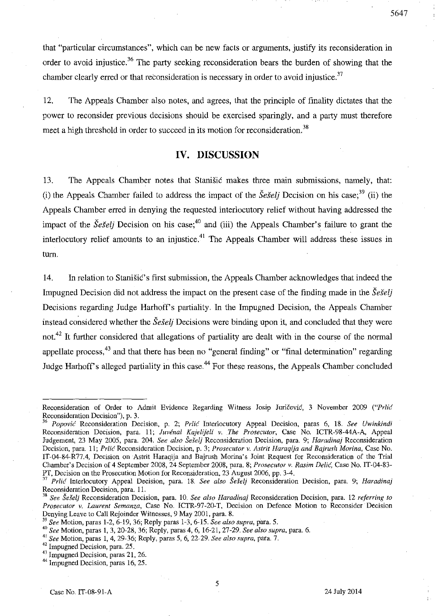that "particular circumstances", which can be new facts or arguments, justify its reconsideration in order to avoid injustice.<sup>36</sup> The party seeking reconsideration bears the burden of showing that the chamber clearly erred or that reconsideration is necessary in order to avoid injustice.<sup>37</sup>

12. The Appeals Chamber also notes, and agrees, that the principle of finality dictates that the power to reconsider previous decisions should be exercised sparingly, and a party must therefore meet a high threshold in order to succeed in its motion for reconsideration.<sup>38</sup>

### **IV. DISCUSSION**

13. The Appeals Chamber notes that Stanisic makes three mam submissions, namely, that: (i) the Appeals Chamber failed to address the impact of the  $\check{S}e\check{S}elj$  Decision on his case;<sup>39</sup> (ii) the Appeals Chamber erred in denying the requested interlocutory relief without having addressed the impact of the *Seselj* Decision on his case;<sup>40</sup> and (iii) the Appeals Chamber's failure to grant the interlocutory relief amounts to an injustice.<sup>41</sup> The Appeals Chamber will address these issues in tum.

14. **In** relation to StanisiC's first submission, the Appeals Chamber acknowledges that indeed the Impugned Decision did not address the impact on the present case of the finding made in the *SeSel}*  Decisions regarding Judge Harhoff's partiality. In the Impugned Decision, the Appeals Chamber instead considered whether the *Seselj* Decisions were binding upon it, and concluded that they were not.<sup>42</sup> It further considered that allegations of partiality are dealt with in the course of the normal appellate process, $43$  and that there has been no "general finding" or "final determination" regarding Judge Harhoff's alleged partiality in this case.<sup>44</sup> For these reasons, the Appeals Chamber concluded

5

Reconsideration of Order to Admit Evidence Regarding Witness Josip Juricevic, 3 November 2009 *("Prlic*  Reconsideration Decision"), p. 3.

*Popović Reconsideration Decision, p. 2; Prlić Interlocutory Appeal Decision, paras 6, 18. See Uwinkindi* Reconsideration Decision, para. 11; *Juvénal Kajelijeli v. The Prosecutor*, Case No. ICTR-98-44A-A, Appeal Judgement, 23 May 2005, para. 204. *See also Šešelj* Reconsideration Decision, para. 9; *Haradinaj* Reconsideration **Decision, para. 11;** *Prlic* **Reconsideration Decision, p. 3;** *Prosecutor* **v.** *Astr;t Haraqija and Bajrush Morina,* **Case No.**  IT-04-S4-R77.4, Decision on Astrit Haraqija and Bajrush Morina's Joint Request for Reconsideration of the Trial Chamber's Decision of 4 September 200S, 24 September 200S, para. S; *Prosecutor* v. *Rasim DeliG,* Case No. IT-04,S3- PT, Decision on the Prosecution Motion for Reconsideration, 23 August 2006, pp. 3-4.

*Prlic* Interlocutory Appeal Decision, para. 18. See also Šešelj Reconsideration Decision, para. 9; *Haradinaj* **Reconsideration Decision, para. 11.** 

*<sup>38</sup> See Seselj* **Reconsideration Decision, para. 10.** *See also Haradinaj* **Reconsideration Decision, para. 12** *referring to Prosecutor v. Laurent Semanza*, Case No. ICTR-97-20-T, Decision on Defence Motion to Reconsider Decision Denying Leave to Call Rejoinder Witnesses, 9 May 2001, para. 8.

J9 *See* Motion, paras 1-2,6-19,36; Reply paras 1-3,6-15. *See also supra,* para. 5.

*<sup>40</sup> See* Motion, paras 1, 3, 20-2S, 36; Reply, paras 4, 6, 16-21,27-29. *See also supra,* para. 6.

<sup>41</sup>*See* Motion, paras 1,4,29-36; Reply, paras 5, 6, 22-29. *See also supra,* para. 7.

<sup>42</sup> Impugned Decision, para. 25.

<sup>&</sup>lt;sup>43</sup> Impugned Decision, paras 21, 26.

<sup>&</sup>lt;sup>44</sup> Impugned Decision, paras 16, 25.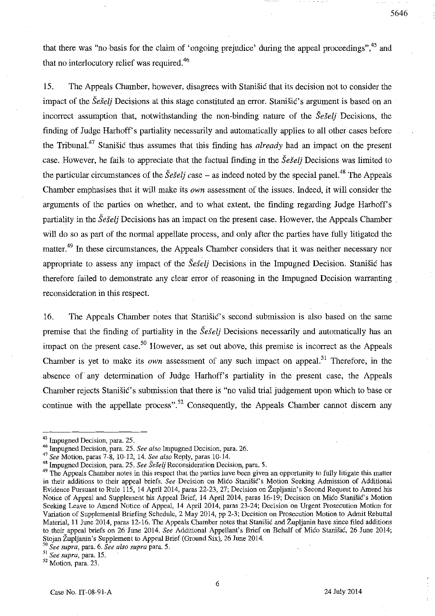that there was "no basis for the claim of 'ongoing prejudice' during the appeal proceedings",<sup>45</sup> and that no interlocutory relief was required.<sup>46</sup>

15. The Appeals Chamber, however, disagrees with Stanisic that its decision not to consider the impact of the *Šešelj* Decisions at this stage constituted an error. Stanišić's argument is based on an incorrect assumption that, notwithstanding the non-binding nature of the *SeSelj* Decisions, the finding of Judge Harhoff's partiality necessarily and automatically applies to all other cases before the Tribunal.<sup>47</sup> Stanišić thus assumes that this finding has *already* had an impact on the present case. However, he fails to appreciate that the factual finding in the *Sesel* Decisions was limited to the particular circumstances of the *Sesti case* – as indeed noted by the special panel.<sup>48</sup> The Appeals Chamber emphasises that it will make its *own* assessment of the issues. Indeed, it will consider the arguments of the parties on whether, and to what extent, the finding regarding Judge Harhoff's partiality in the *Seselj* Decisions has an impact on the present case. However, the Appeals Chamber will do so as part of the normal appellate process, and only after the parties have fully litigated the matter.<sup>49</sup> In these circumstances, the Appeals Chamber considers that it was neither necessary nor appropriate to assess any impact of the *Šešelj* Decisions in the Impugned Decision. Stanišić has therefore failed to demonstrate any clear error of reasoning in the Impugned Decision warranting reconsideration in this respect.

16. The Appeals Chamber notes that Stanisic's second submission is also based on the same premise that the finding of partiality in the *Sestelj* Decisions necessarily and automatically has an impact on the present case.<sup>50</sup> However, as set out above, this premise is incorrect as the Appeals Chamber is yet to make its *own* assessment of any such impact on appeal.<sup>51</sup> Therefore, in the absence of any determination of Judge Harhoff's partiality in the present case, the Appeals Chamber rejects Stanišić's submission that there is "no valid trial judgement upon which to base or continue with the appellate process".<sup>52</sup> Consequently, the Appeals Chamber cannot discern any

**<sup>51</sup>***See supra,* **para. 15.** 

<sup>&</sup>lt;sup>45</sup> Impugned Decision, para. 25.

<sup>46</sup> Impugned Decision, para. 25. *See also* Impugned Decision, para. 26.

<sup>47</sup>*See* Motion, paras 7-8, 10-12, 14. *See also* Reply, paras 10-14.

<sup>&</sup>lt;sup>48</sup> Impugned Decision, para. 25. See Šešelj Reconsideration Decision, para. 5.

<sup>&</sup>lt;sup>49</sup> The Appeals Chamber notes in this respect that the parties have been given an opportunity to fully litigate this matter in their additions to their appeal briefs. *See* Decision on Mico Stanisic's Motion Seeking Admission of Additional Evidence Pursuant to Rule 115, 14 April 2014, paras 22-23, 27; Decision on Župljanin's Second Request to Amend his Notice of Appeal and Supplement his Appeal Brief, 14 April 2014, paras 16-19; Decision on Mico Stanišic's Motion Seeking Leave to Amend Notice of Appeal, 14 April 2014, paras 23-24; Decision on Urgent Prosecution Motion for Variation of Supplemental Briefing Schedule, 2 May 2014, pp 2-3; Decision on Prosecution Motion to Admit Rebuttal Material, 11 June 2014, paras 12-16. The Appeals Chamber notes that Stanistic and Zupljanin have since filed additions to their appeal briefs on 26 June 2014. *See* Additional Appellant's Brief on Behalf of Mico Stardsic, 26 June 2014; Stojan Zupljanin's Supplement to Appeal Brief (Ground Six), 26 June 2014.

*<sup>50</sup> See supra,* **para. 6.** *See also supra* **para. 5.** 

<sup>52</sup> Motion, para. 23.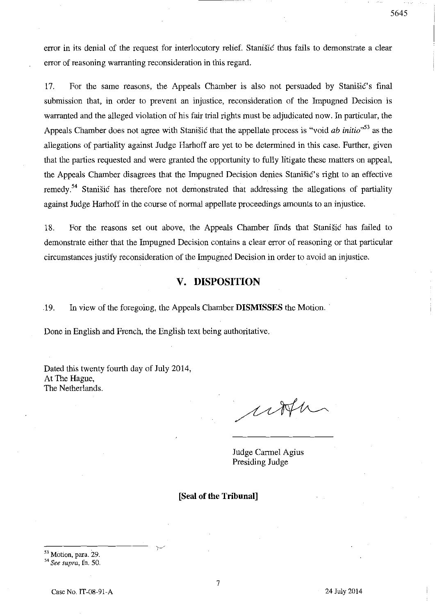error in its denial of the request for interlocutory relief. Stanisic thus fails to demonstrate a clear error of reasoning warranting reconsideration in this regard.

17. For the same reasons, the Appeals Chamber is also not persuaded by Stanišić's final submission that, in order to prevent an injustice, reconsideration of the Impugned Decision is warranted and the alleged violation of his fair trial rights must be adjudicated now. In particular, the Appeals Chamber does not agree with Stanisic that the appellate process is "void *ab initio"S3* as the allegations of partiality against Judge Harhoff are yet to be determined in this case. Further, given that the parties requested and were granted the opportunity to fully litigate these matters on appeal, the Appeals Chamber disagrees that the Impugned Decision denies Stanišić's right to an effective remedy<sup>54</sup> Stanišić has therefore not demonstrated that addressing the allegations of partiality against Judge Harhoff in the course of normal appellate proceedings amounts to an injustice.

18. For the reasons set out above, the Appeals Chamber finds that Stanisic has failed to demonstrate either that the Impugned Decision contains a clear error of reasoning or that particular circumstances justify reconsideration of the Impugned Decision in order to avoid an injustice.

## **v. DISPOSITION**

.19. In view of the foregoing, the Appeals Chamber **DISMISSES** the Motion.

Done in English and French, the English text being authoritative.

Dated this twenty fourth day of July 2014, At The Hague, The Netherlands.

utter

Judge Carmel Agius Presiding Judge

**[Seal of the Tribunal]** 

53 Motion, para. 29.

*54 See supra,* **fn. 50.**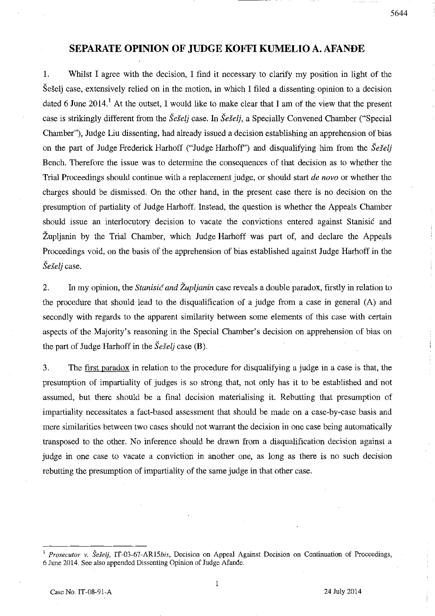# **SEPARATE OPINION OF JUDGE KOFFI KUMELIO A. AFANDE**

1. Whilst I agree with the decision, I find it necessary to clarify my position in light of the Seselj case, extensively relied on in the motion, in which I filed a dissenting opinion to a decision dated 6 June 2014.<sup>1</sup> At the outset, I would like to make clear that I am of the view that the present case is strikingly different from the *SeSel}* case. In *SeSelj,* a Specially Convened Chamber ("Special Chamber"), Judge Liu dissenting, had already issued a decision establishing an apprehension of bias on the part of Judge Frederick Harhoff ("Judge Harhoff') and disqualifying him from the *Seselj*  Bench. Therefore the issue was to determine the consequences of that decision as to whether the Trial Proceedings should continue with a replacement judge, or should start *de novo* or whether the charges should be dismissed. On the other hand, in the present case there is no decision on the presumption of partiality of Judge Harhoff. Instead, the question is whether the Appeals Chamber should issue an interlocutory decision to vacate the convictions entered against Stanisic and Zupljanin by the Trial Chamber, which Judge Harhoff was part of, and declare the Appeals Proceedings void, on the basis of the apprehension of bias established against Judge Harhoff in the *Seselj* case.

2. In my opinion, the *Stanisić and Župljanin* case reveals a double paradox, firstly in relation to the procedure that should lead to the disqualification of a judge from a case in general (A) and secondly with regards to the apparent similarity between some elements of this case with certain aspects of the Majority's reasoning in the Special Chamber's decision on apprehension of bias on the part of Judge Harhoff in the *SeSelj* case (B).

3. The first paradox in relation to the procedure for disqualifying a judge in a case is that, the presumption of impartiality of judges is so strong that, not only has it to be established and not assumed, but there should be a final decision materialising it. Rebutting that presumption of impartiality necessitates a fact-based assessment that should be made on a case-by-case basis and mere similarities between two cases should not warrant the decision in one case being automatically transposed to the other. No inference should be drawn from a disqualification decision against a judge in one case to vacate a conviction in another one, as long as there is no such decision rebutting the presumption of impartiality of the same judge in that other case.

<sup>&</sup>lt;sup>1</sup> Prosecutor v. Šešelj, IT-03-67-AR15bis, Decision on Appeal Against Decision on Continuation of Proceedings, 6 June 2014. See also appended Dissenting Opinion of Judge Afande.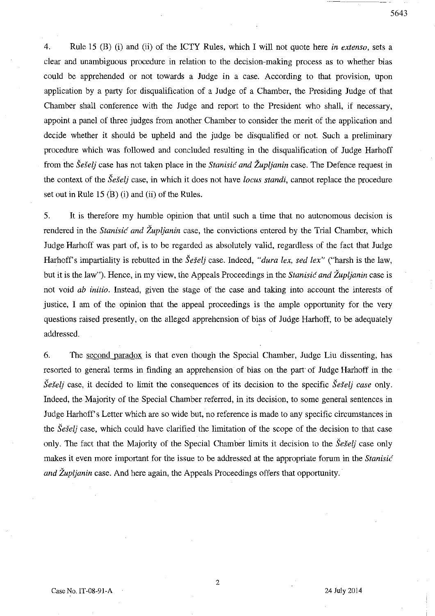4. Rule 15 (B) (i) and (ii) of the ICTY Rules, which I will not quote here *in extenso,* sets a clear and unambiguous procedure in relation to the decision-making process as to whether bias could be apprehended or not towards a Judge in a case. According to that provision, upon application by a party for disqualification of a Judge of a Chamber, the Presiding Judge of that Chamber shall conference with the Judge and report to the President who shall, if necessary, appoint a panel of three judges from another Chamber to consider the merit of the application and decide whether it should be upheld and the judge be disqualified or not. Such a preliminary procedure which was followed and concluded resulting in the disqualification of Judge Harhoff

from the *Šešelj* case has not taken place in the *Stanisić and Župlianin* case. The Defence request in the context of the *SeSelj* case, in which it does not have *locus standi,* cannot replace the procedure set out in Rule 15 (B) (i) and (ii) of the Rules.

5. It is therefore my humble opinion that until such a time that no autonomous decision is rendered in the *Stanisic and Zupljanin* case, the convictions entered by the Trial Chamber, which Judge Harhoff was part of, is to be regarded as absolutely valid, regardless of the fact that Judge Harhoff's impartiality is rebutted in the *Seselj* case. Indeed, "*dura lex, sed lex*" ("harsh is the law, but it is the law"). Hence, in my view, the Appeals Proceedings in the *Stanisic and Zupljanin* case is not void *ab initio.* Instead, given the stage of the case and taking into account the interests of justice, I am of the opinion that the appeal proceedings is the ample opportunity for the very questions raised presently, on the alleged apprehension of bias of Judge Harhoff, to be adequately addressed.

6. The second paradox is that even though the Special Chamber, Judge Liu dissenting, has resorted to general terms in finding an apprehension of bias on the part of Judge Harhoff in the *Sešelj* case, it decided to limit the consequences of its decision to the specific *Sešelj case* only. Indeed, the Majority of the Special Chamber referred, in its decision, to some general sentences in Judge Harhoff's Letter which are so wide but, no reference is made to any specific circumstances in the *SeSelj* case, which could have clarified the limitation of the scope of the decision to that case only. The fact that the Majority of the Special Chamber limits it decision to the *Seielj* case only makes it even more important for the issue to be addressed at the appropriate forum in the *Stanisic and Župljanin* case. And here again, the Appeals Proceedings offers that opportunity.

5643